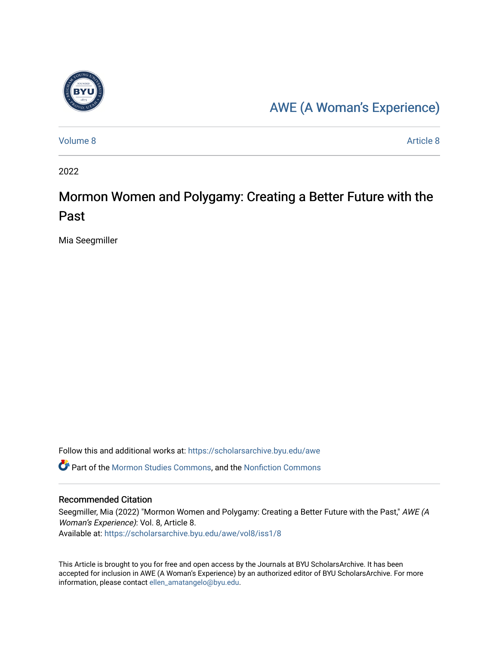

### [AWE \(A Woman's Experience\)](https://scholarsarchive.byu.edu/awe)

[Volume 8](https://scholarsarchive.byu.edu/awe/vol8) [Article 8](https://scholarsarchive.byu.edu/awe/vol8/iss1/8) Article 8 Article 8 Article 8 Article 8 Article 8 Article 8 Article 8 Article 8 Article 8 A

2022

## Mormon Women and Polygamy: Creating a Better Future with the Past

Mia Seegmiller

Follow this and additional works at: [https://scholarsarchive.byu.edu/awe](https://scholarsarchive.byu.edu/awe?utm_source=scholarsarchive.byu.edu%2Fawe%2Fvol8%2Fiss1%2F8&utm_medium=PDF&utm_campaign=PDFCoverPages)

Part of the [Mormon Studies Commons](https://network.bepress.com/hgg/discipline/1360?utm_source=scholarsarchive.byu.edu%2Fawe%2Fvol8%2Fiss1%2F8&utm_medium=PDF&utm_campaign=PDFCoverPages), and the [Nonfiction Commons](https://network.bepress.com/hgg/discipline/1152?utm_source=scholarsarchive.byu.edu%2Fawe%2Fvol8%2Fiss1%2F8&utm_medium=PDF&utm_campaign=PDFCoverPages) 

#### Recommended Citation

Seegmiller, Mia (2022) "Mormon Women and Polygamy: Creating a Better Future with the Past," AWE (A Woman's Experience): Vol. 8, Article 8. Available at: [https://scholarsarchive.byu.edu/awe/vol8/iss1/8](https://scholarsarchive.byu.edu/awe/vol8/iss1/8?utm_source=scholarsarchive.byu.edu%2Fawe%2Fvol8%2Fiss1%2F8&utm_medium=PDF&utm_campaign=PDFCoverPages)

This Article is brought to you for free and open access by the Journals at BYU ScholarsArchive. It has been accepted for inclusion in AWE (A Woman's Experience) by an authorized editor of BYU ScholarsArchive. For more information, please contact [ellen\\_amatangelo@byu.edu.](mailto:ellen_amatangelo@byu.edu)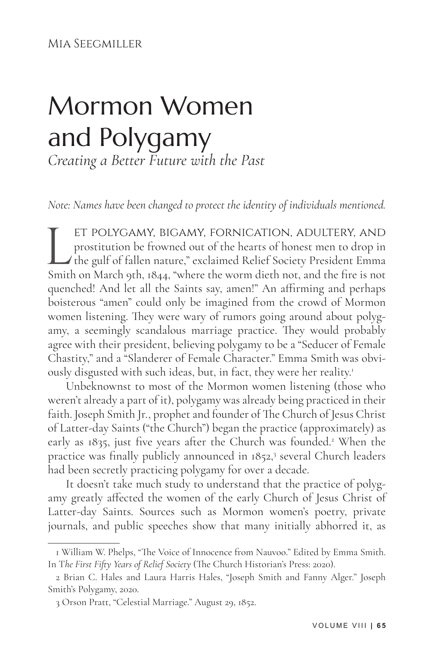Mia Seegmiller

# Mormon Women and Polygamy *Creating a Better Future with the Past*

*Note: Names have been changed to protect the identity of individuals mentioned.*

ET POLYGAMY, BIGAMY, FORNICATION, ADULTERY, AND<br>prostitution be frowned out of the hearts of honest men to drop in<br>the gulf of fallen nature," exclaimed Relief Society President Emma<br>Smith on March 9th, 1844, "where the wo prostitution be frowned out of the hearts of honest men to drop in the gulf of fallen nature," exclaimed Relief Society President Emma Smith on March 9th, 1844, "where the worm dieth not, and the fire is not quenched! And let all the Saints say, amen!" An affirming and perhaps boisterous "amen" could only be imagined from the crowd of Mormon women listening. They were wary of rumors going around about polygamy, a seemingly scandalous marriage practice. They would probably agree with their president, believing polygamy to be a "Seducer of Female Chastity," and a "Slanderer of Female Character." Emma Smith was obviously disgusted with such ideas, but, in fact, they were her reality.<sup>1</sup>

Unbeknownst to most of the Mormon women listening (those who weren't already a part of it), polygamy was already being practiced in their faith. Joseph Smith Jr., prophet and founder of The Church of Jesus Christ of Latter-day Saints ("the Church") began the practice (approximately) as early as 1835, just five years after the Church was founded.<sup>2</sup> When the practice was finally publicly announced in 1852,<sup>3</sup> several Church leaders had been secretly practicing polygamy for over a decade.

It doesn't take much study to understand that the practice of polygamy greatly affected the women of the early Church of Jesus Christ of Latter-day Saints. Sources such as Mormon women's poetry, private journals, and public speeches show that many initially abhorred it, as

<sup>1</sup> William W. Phelps, "The Voice of Innocence from Nauvoo." Edited by Emma Smith. In T*he First Fifty Years of Relief Society* (The Church Historian's Press: 2020).

<sup>2</sup> Brian C. Hales and Laura Harris Hales, "Joseph Smith and Fanny Alger." Joseph Smith's Polygamy, 2020.

<sup>3</sup> Orson Pratt, "Celestial Marriage." August 29, 1852.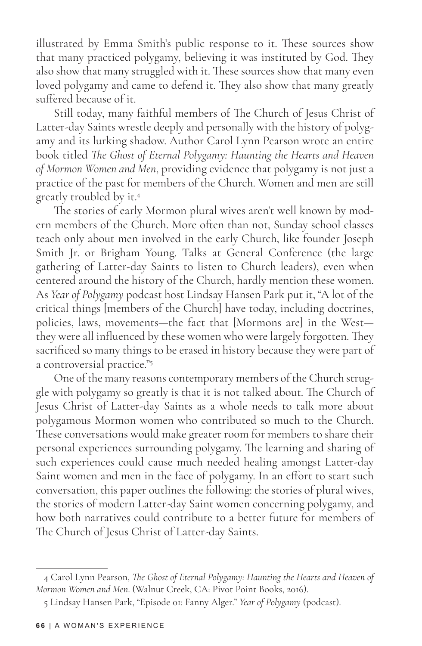illustrated by Emma Smith's public response to it. These sources show that many practiced polygamy, believing it was instituted by God. They also show that many struggled with it. These sources show that many even loved polygamy and came to defend it. They also show that many greatly suffered because of it.

Still today, many faithful members of The Church of Jesus Christ of Latter-day Saints wrestle deeply and personally with the history of polygamy and its lurking shadow. Author Carol Lynn Pearson wrote an entire book titled *The Ghost of Eternal Polygamy: Haunting the Hearts and Heaven of Mormon Women and Men*, providing evidence that polygamy is not just a practice of the past for members of the Church. Women and men are still greatly troubled by it.4

The stories of early Mormon plural wives aren't well known by modern members of the Church. More often than not, Sunday school classes teach only about men involved in the early Church, like founder Joseph Smith Jr. or Brigham Young. Talks at General Conference (the large gathering of Latter-day Saints to listen to Church leaders), even when centered around the history of the Church, hardly mention these women. As *Year of Polygamy* podcast host Lindsay Hansen Park put it, "A lot of the critical things [members of the Church] have today, including doctrines, policies, laws, movements—the fact that [Mormons are] in the West they were all influenced by these women who were largely forgotten. They sacrificed so many things to be erased in history because they were part of a controversial practice."5

One of the many reasons contemporary members of the Church struggle with polygamy so greatly is that it is not talked about. The Church of Jesus Christ of Latter-day Saints as a whole needs to talk more about polygamous Mormon women who contributed so much to the Church. These conversations would make greater room for members to share their personal experiences surrounding polygamy. The learning and sharing of such experiences could cause much needed healing amongst Latter-day Saint women and men in the face of polygamy. In an effort to start such conversation, this paper outlines the following: the stories of plural wives, the stories of modern Latter-day Saint women concerning polygamy, and how both narratives could contribute to a better future for members of The Church of Jesus Christ of Latter-day Saints.

<sup>4</sup> Carol Lynn Pearson, *The Ghost of Eternal Polygamy: Haunting the Hearts and Heaven of Mormon Women and Men*. (Walnut Creek, CA: Pivot Point Books, 2016).

<sup>5</sup> Lindsay Hansen Park, "Episode 01: Fanny Alger." *Year of Polygamy* (podcast).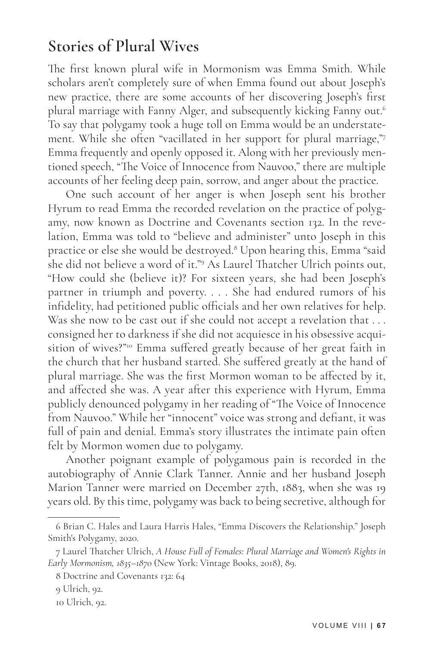#### **Stories of Plural Wives**

The first known plural wife in Mormonism was Emma Smith. While scholars aren't completely sure of when Emma found out about Joseph's new practice, there are some accounts of her discovering Joseph's first plural marriage with Fanny Alger, and subsequently kicking Fanny out.<sup>6</sup> To say that polygamy took a huge toll on Emma would be an understatement. While she often "vacillated in her support for plural marriage,"<sup>7</sup> Emma frequently and openly opposed it. Along with her previously mentioned speech, "The Voice of Innocence from Nauvoo," there are multiple accounts of her feeling deep pain, sorrow, and anger about the practice.

One such account of her anger is when Joseph sent his brother Hyrum to read Emma the recorded revelation on the practice of polygamy, now known as Doctrine and Covenants section 132. In the revelation, Emma was told to "believe and administer" unto Joseph in this practice or else she would be destroyed.<sup>8</sup> Upon hearing this, Emma "said she did not believe a word of it."9 As Laurel Thatcher Ulrich points out, "How could she (believe it)? For sixteen years, she had been Joseph's partner in triumph and poverty. . . . She had endured rumors of his infidelity, had petitioned public officials and her own relatives for help. Was she now to be cast out if she could not accept a revelation that . . . consigned her to darkness if she did not acquiesce in his obsessive acquisition of wives?"<sup>10</sup> Emma suffered greatly because of her great faith in the church that her husband started. She suffered greatly at the hand of plural marriage. She was the first Mormon woman to be affected by it, and affected she was. A year after this experience with Hyrum, Emma publicly denounced polygamy in her reading of "The Voice of Innocence from Nauvoo." While her "innocent" voice was strong and defiant, it was full of pain and denial. Emma's story illustrates the intimate pain often felt by Mormon women due to polygamy.

Another poignant example of polygamous pain is recorded in the autobiography of Annie Clark Tanner. Annie and her husband Joseph Marion Tanner were married on December 27th, 1883, when she was 19 years old. By this time, polygamy was back to being secretive, although for

<sup>6</sup> Brian C. Hales and Laura Harris Hales, "Emma Discovers the Relationship." Joseph Smith's Polygamy, 2020.

<sup>7</sup> Laurel Thatcher Ulrich, *A House Full of Females: Plural Marriage and Women's Rights in Early Mormonism, 1835–1870* (New York: Vintage Books, 2018), 89.

<sup>8</sup> Doctrine and Covenants 132: 64

<sup>9</sup> Ulrich, 92.

<sup>10</sup> Ulrich, 92.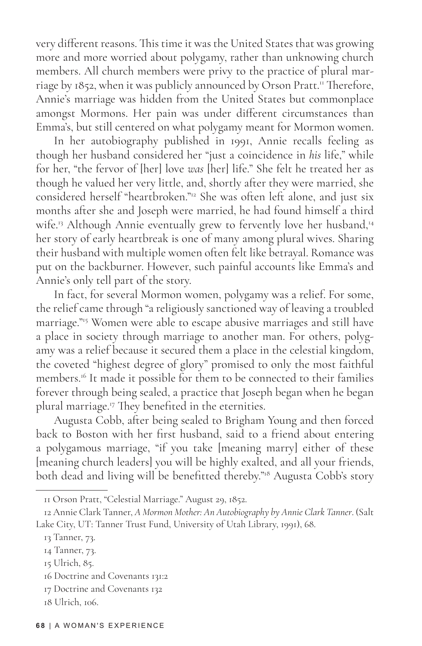very different reasons. This time it was the United States that was growing more and more worried about polygamy, rather than unknowing church members. All church members were privy to the practice of plural marriage by 1852, when it was publicly announced by Orson Pratt.<sup>11</sup> Therefore, Annie's marriage was hidden from the United States but commonplace amongst Mormons. Her pain was under different circumstances than Emma's, but still centered on what polygamy meant for Mormon women.

In her autobiography published in 1991, Annie recalls feeling as though her husband considered her "just a coincidence in *his* life," while for her, "the fervor of [her] love *was* [her] life." She felt he treated her as though he valued her very little, and, shortly after they were married, she considered herself "heartbroken."12 She was often left alone, and just six months after she and Joseph were married, he had found himself a third wife.<sup>13</sup> Although Annie eventually grew to fervently love her husband,<sup>14</sup> her story of early heartbreak is one of many among plural wives. Sharing their husband with multiple women often felt like betrayal. Romance was put on the backburner. However, such painful accounts like Emma's and Annie's only tell part of the story.

In fact, for several Mormon women, polygamy was a relief. For some, the relief came through "a religiously sanctioned way of leaving a troubled marriage."<sup>15</sup> Women were able to escape abusive marriages and still have a place in society through marriage to another man. For others, polygamy was a relief because it secured them a place in the celestial kingdom, the coveted "highest degree of glory" promised to only the most faithful members.<sup>16</sup> It made it possible for them to be connected to their families forever through being sealed, a practice that Joseph began when he began plural marriage.17 They benefited in the eternities.

Augusta Cobb, after being sealed to Brigham Young and then forced back to Boston with her first husband, said to a friend about entering a polygamous marriage, "if you take [meaning marry] either of these [meaning church leaders] you will be highly exalted, and all your friends, both dead and living will be benefitted thereby."<sup>18</sup> Augusta Cobb's story

15 Ulrich, 85.

<sup>11</sup> Orson Pratt, "Celestial Marriage." August 29, 1852.

<sup>12</sup> Annie Clark Tanner, *A Mormon Mother: An Autobiography by Annie Clark Tanner*. (Salt Lake City, UT: Tanner Trust Fund, University of Utah Library, 1991), 68.

<sup>13</sup> Tanner, 73.

<sup>14</sup> Tanner, 73.

<sup>16</sup> Doctrine and Covenants 131:2

<sup>17</sup> Doctrine and Covenants 132

<sup>18</sup> Ulrich, 106.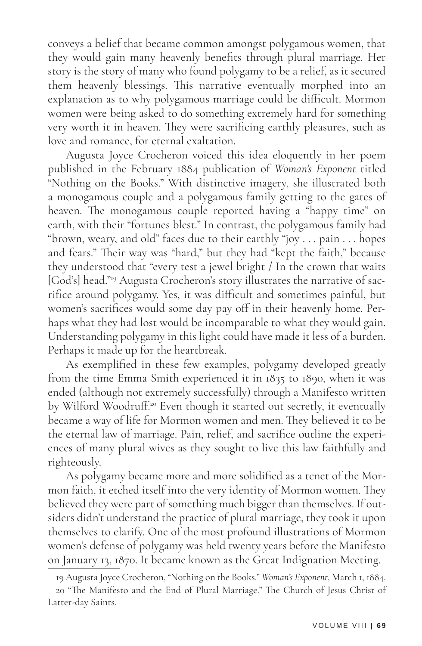conveys a belief that became common amongst polygamous women, that they would gain many heavenly benefits through plural marriage. Her story is the story of many who found polygamy to be a relief, as it secured them heavenly blessings. This narrative eventually morphed into an explanation as to why polygamous marriage could be difficult. Mormon women were being asked to do something extremely hard for something very worth it in heaven. They were sacrificing earthly pleasures, such as love and romance, for eternal exaltation.

Augusta Joyce Crocheron voiced this idea eloquently in her poem published in the February 1884 publication of *Woman's Exponent* titled "Nothing on the Books." With distinctive imagery, she illustrated both a monogamous couple and a polygamous family getting to the gates of heaven. The monogamous couple reported having a "happy time" on earth, with their "fortunes blest." In contrast, the polygamous family had "brown, weary, and old" faces due to their earthly "joy . . . pain . . . hopes and fears." Their way was "hard," but they had "kept the faith," because they understood that "every test a jewel bright / In the crown that waits [God's] head."19 Augusta Crocheron's story illustrates the narrative of sacrifice around polygamy. Yes, it was difficult and sometimes painful, but women's sacrifices would some day pay off in their heavenly home. Perhaps what they had lost would be incomparable to what they would gain. Understanding polygamy in this light could have made it less of a burden. Perhaps it made up for the heartbreak.

As exemplified in these few examples, polygamy developed greatly from the time Emma Smith experienced it in 1835 to 1890, when it was ended (although not extremely successfully) through a Manifesto written by Wilford Woodruff.<sup>20</sup> Even though it started out secretly, it eventually became a way of life for Mormon women and men. They believed it to be the eternal law of marriage. Pain, relief, and sacrifice outline the experiences of many plural wives as they sought to live this law faithfully and righteously.

As polygamy became more and more solidified as a tenet of the Mormon faith, it etched itself into the very identity of Mormon women. They believed they were part of something much bigger than themselves. If outsiders didn't understand the practice of plural marriage, they took it upon themselves to clarify. One of the most profound illustrations of Mormon women's defense of polygamy was held twenty years before the Manifesto on January 13, 1870. It became known as the Great Indignation Meeting.

<sup>19</sup> Augusta Joyce Crocheron, "Nothing on the Books." *Woman's Exponent*, March 1, 1884.

<sup>20 &</sup>quot;The Manifesto and the End of Plural Marriage." The Church of Jesus Christ of Latter-day Saints.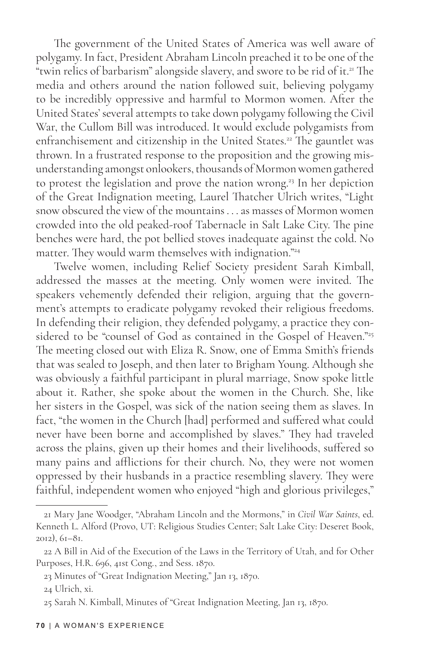The government of the United States of America was well aware of polygamy. In fact, President Abraham Lincoln preached it to be one of the "twin relics of barbarism" alongside slavery, and swore to be rid of it.<sup>21</sup> The media and others around the nation followed suit, believing polygamy to be incredibly oppressive and harmful to Mormon women. After the United States' several attempts to take down polygamy following the Civil War, the Cullom Bill was introduced. It would exclude polygamists from enfranchisement and citizenship in the United States.<sup>22</sup> The gauntlet was thrown. In a frustrated response to the proposition and the growing misunderstanding amongst onlookers, thousands of Mormon women gathered to protest the legislation and prove the nation wrong.<sup>23</sup> In her depiction of the Great Indignation meeting, Laurel Thatcher Ulrich writes, "Light snow obscured the view of the mountains . . . as masses of Mormon women crowded into the old peaked-roof Tabernacle in Salt Lake City. The pine benches were hard, the pot bellied stoves inadequate against the cold. No matter. They would warm themselves with indignation."<sup>24</sup>

Twelve women, including Relief Society president Sarah Kimball, addressed the masses at the meeting. Only women were invited. The speakers vehemently defended their religion, arguing that the government's attempts to eradicate polygamy revoked their religious freedoms. In defending their religion, they defended polygamy, a practice they considered to be "counsel of God as contained in the Gospel of Heaven."<sup>25</sup> The meeting closed out with Eliza R. Snow, one of Emma Smith's friends that was sealed to Joseph, and then later to Brigham Young. Although she was obviously a faithful participant in plural marriage, Snow spoke little about it. Rather, she spoke about the women in the Church. She, like her sisters in the Gospel, was sick of the nation seeing them as slaves. In fact, "the women in the Church [had] performed and suffered what could never have been borne and accomplished by slaves." They had traveled across the plains, given up their homes and their livelihoods, suffered so many pains and afflictions for their church. No, they were not women oppressed by their husbands in a practice resembling slavery. They were faithful, independent women who enjoyed "high and glorious privileges,"

<sup>21</sup> Mary Jane Woodger, "Abraham Lincoln and the Mormons," in *Civil War Saints*, ed. Kenneth L. Alford (Provo, UT: Religious Studies Center; Salt Lake City: Deseret Book, 2012), 61–81.

<sup>22</sup> A Bill in Aid of the Execution of the Laws in the Territory of Utah, and for Other Purposes, H.R. 696, 41st Cong., 2nd Sess. 1870.

<sup>23</sup> Minutes of "Great Indignation Meeting," Jan 13, 1870.

<sup>24</sup> Ulrich, xi.

<sup>25</sup> Sarah N. Kimball, Minutes of "Great Indignation Meeting, Jan 13, 1870.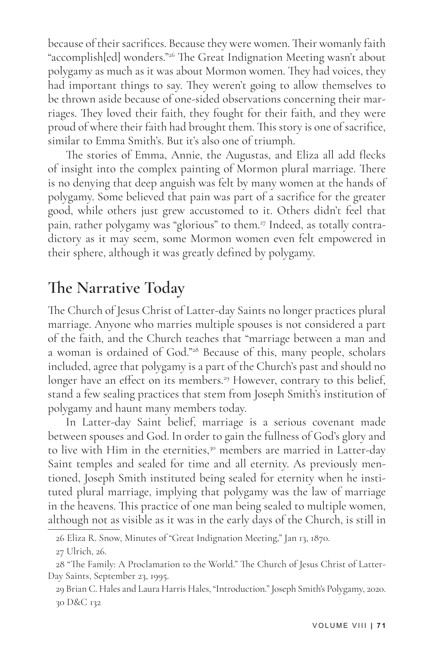because of their sacrifices. Because they were women. Their womanly faith "accomplish[ed] wonders."<sup>26</sup> The Great Indignation Meeting wasn't about polygamy as much as it was about Mormon women. They had voices, they had important things to say. They weren't going to allow themselves to be thrown aside because of one-sided observations concerning their marriages. They loved their faith, they fought for their faith, and they were proud of where their faith had brought them. This story is one of sacrifice, similar to Emma Smith's. But it's also one of triumph.

The stories of Emma, Annie, the Augustas, and Eliza all add flecks of insight into the complex painting of Mormon plural marriage. There is no denying that deep anguish was felt by many women at the hands of polygamy. Some believed that pain was part of a sacrifice for the greater good, while others just grew accustomed to it. Others didn't feel that pain, rather polygamy was "glorious" to them.<sup>27</sup> Indeed, as totally contradictory as it may seem, some Mormon women even felt empowered in their sphere, although it was greatly defined by polygamy.

#### **The Narrative Today**

The Church of Jesus Christ of Latter-day Saints no longer practices plural marriage. Anyone who marries multiple spouses is not considered a part of the faith, and the Church teaches that "marriage between a man and a woman is ordained of God."28 Because of this, many people, scholars included, agree that polygamy is a part of the Church's past and should no longer have an effect on its members.<sup>29</sup> However, contrary to this belief, stand a few sealing practices that stem from Joseph Smith's institution of polygamy and haunt many members today.

In Latter-day Saint belief, marriage is a serious covenant made between spouses and God. In order to gain the fullness of God's glory and to live with Him in the eternities,<sup>30</sup> members are married in Latter-day Saint temples and sealed for time and all eternity. As previously mentioned, Joseph Smith instituted being sealed for eternity when he instituted plural marriage, implying that polygamy was the law of marriage in the heavens. This practice of one man being sealed to multiple women, although not as visible as it was in the early days of the Church, is still in

<sup>26</sup> Eliza R. Snow, Minutes of "Great Indignation Meeting," Jan 13, 1870.

<sup>27</sup> Ulrich, 26.

<sup>28 &</sup>quot;The Family: A Proclamation to the World." The Church of Jesus Christ of Latter-Day Saints, September 23, 1995.

<sup>29</sup> Brian C. Hales and Laura Harris Hales, "Introduction." Joseph Smith's Polygamy, 2020. 30 D&C 132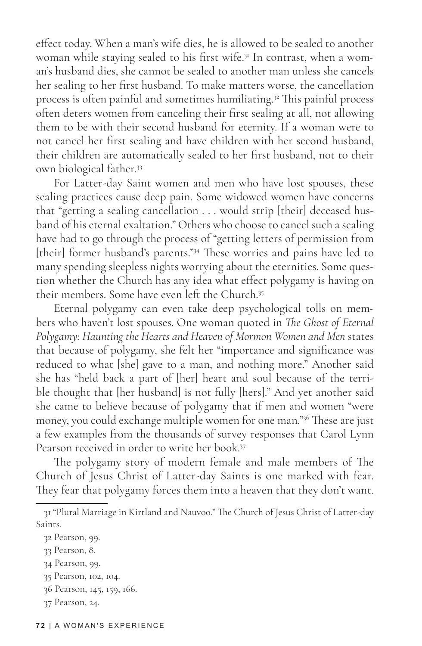effect today. When a man's wife dies, he is allowed to be sealed to another woman while staying sealed to his first wife.<sup>31</sup> In contrast, when a woman's husband dies, she cannot be sealed to another man unless she cancels her sealing to her first husband. To make matters worse, the cancellation process is often painful and sometimes humiliating.<sup>32</sup> This painful process often deters women from canceling their first sealing at all, not allowing them to be with their second husband for eternity. If a woman were to not cancel her first sealing and have children with her second husband, their children are automatically sealed to her first husband, not to their own biological father.33

For Latter-day Saint women and men who have lost spouses, these sealing practices cause deep pain. Some widowed women have concerns that "getting a sealing cancellation . . . would strip [their] deceased husband of his eternal exaltation." Others who choose to cancel such a sealing have had to go through the process of "getting letters of permission from [their] former husband's parents."<sup>34</sup> These worries and pains have led to many spending sleepless nights worrying about the eternities. Some question whether the Church has any idea what effect polygamy is having on their members. Some have even left the Church.<sup>35</sup>

Eternal polygamy can even take deep psychological tolls on members who haven't lost spouses. One woman quoted in *The Ghost of Eternal Polygamy: Haunting the Hearts and Heaven of Mormon Women and Men* states that because of polygamy, she felt her "importance and significance was reduced to what [she] gave to a man, and nothing more." Another said she has "held back a part of [her] heart and soul because of the terrible thought that [her husband] is not fully [hers]." And yet another said she came to believe because of polygamy that if men and women "were money, you could exchange multiple women for one man."36 These are just a few examples from the thousands of survey responses that Carol Lynn Pearson received in order to write her book.37

The polygamy story of modern female and male members of The Church of Jesus Christ of Latter-day Saints is one marked with fear. They fear that polygamy forces them into a heaven that they don't want.

37 Pearson, 24.

<sup>31 &</sup>quot;Plural Marriage in Kirtland and Nauvoo." The Church of Jesus Christ of Latter-day Saints.

<sup>32</sup> Pearson, 99.

<sup>33</sup> Pearson, 8.

<sup>34</sup> Pearson, 99.

<sup>35</sup> Pearson, 102, 104.

<sup>36</sup> Pearson, 145, 159, 166.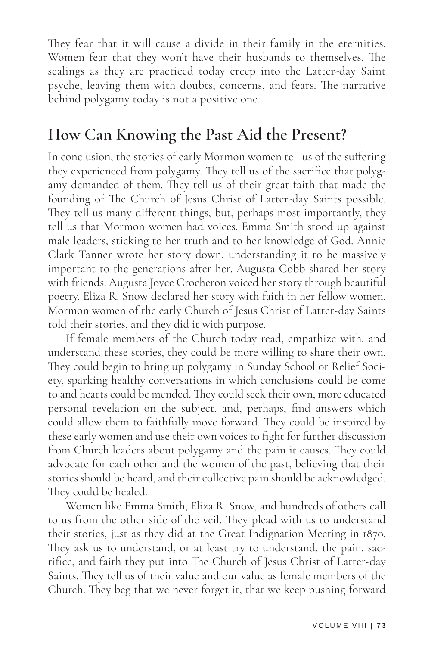They fear that it will cause a divide in their family in the eternities. Women fear that they won't have their husbands to themselves. The sealings as they are practiced today creep into the Latter-day Saint psyche, leaving them with doubts, concerns, and fears. The narrative behind polygamy today is not a positive one.

### **How Can Knowing the Past Aid the Present?**

In conclusion, the stories of early Mormon women tell us of the suffering they experienced from polygamy. They tell us of the sacrifice that polygamy demanded of them. They tell us of their great faith that made the founding of The Church of Jesus Christ of Latter-day Saints possible. They tell us many different things, but, perhaps most importantly, they tell us that Mormon women had voices. Emma Smith stood up against male leaders, sticking to her truth and to her knowledge of God. Annie Clark Tanner wrote her story down, understanding it to be massively important to the generations after her. Augusta Cobb shared her story with friends. Augusta Joyce Crocheron voiced her story through beautiful poetry. Eliza R. Snow declared her story with faith in her fellow women. Mormon women of the early Church of Jesus Christ of Latter-day Saints told their stories, and they did it with purpose.

If female members of the Church today read, empathize with, and understand these stories, they could be more willing to share their own. They could begin to bring up polygamy in Sunday School or Relief Society, sparking healthy conversations in which conclusions could be come to and hearts could be mended. They could seek their own, more educated personal revelation on the subject, and, perhaps, find answers which could allow them to faithfully move forward. They could be inspired by these early women and use their own voices to fight for further discussion from Church leaders about polygamy and the pain it causes. They could advocate for each other and the women of the past, believing that their stories should be heard, and their collective pain should be acknowledged. They could be healed.

Women like Emma Smith, Eliza R. Snow, and hundreds of others call to us from the other side of the veil. They plead with us to understand their stories, just as they did at the Great Indignation Meeting in 1870. They ask us to understand, or at least try to understand, the pain, sacrifice, and faith they put into The Church of Jesus Christ of Latter-day Saints. They tell us of their value and our value as female members of the Church. They beg that we never forget it, that we keep pushing forward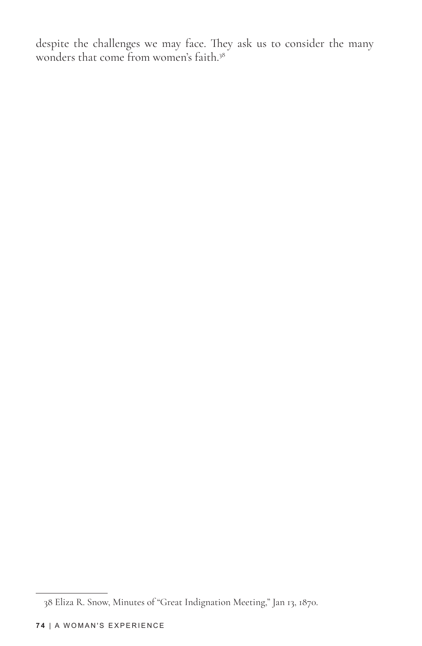despite the challenges we may face. They ask us to consider the many wonders that come from women's faith.<sup>38</sup>

<sup>38</sup> Eliza R. Snow, Minutes of "Great Indignation Meeting," Jan 13, 1870.